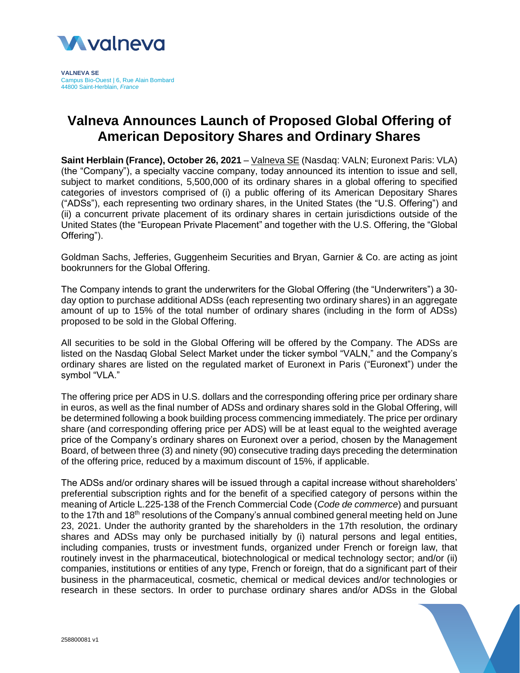

**VALNEVA SE** Campus Bio-Ouest | 6, Rue Alain Bombard 44800 Saint-Herblain, *France*

## **Valneva Announces Launch of Proposed Global Offering of American Depository Shares and Ordinary Shares**

**Saint Herblain (France), October 26, 2021** – [Valneva SE](http://www.valneva.com/) (Nasdaq: VALN; Euronext Paris: VLA) (the "Company"), a specialty vaccine company, today announced its intention to issue and sell, subject to market conditions, 5,500,000 of its ordinary shares in a global offering to specified categories of investors comprised of (i) a public offering of its American Depositary Shares ("ADSs"), each representing two ordinary shares, in the United States (the "U.S. Offering") and (ii) a concurrent private placement of its ordinary shares in certain jurisdictions outside of the United States (the "European Private Placement" and together with the U.S. Offering, the "Global Offering").

Goldman Sachs, Jefferies, Guggenheim Securities and Bryan, Garnier & Co. are acting as joint bookrunners for the Global Offering.

The Company intends to grant the underwriters for the Global Offering (the "Underwriters") a 30 day option to purchase additional ADSs (each representing two ordinary shares) in an aggregate amount of up to 15% of the total number of ordinary shares (including in the form of ADSs) proposed to be sold in the Global Offering.

All securities to be sold in the Global Offering will be offered by the Company. The ADSs are listed on the Nasdaq Global Select Market under the ticker symbol "VALN," and the Company's ordinary shares are listed on the regulated market of Euronext in Paris ("Euronext") under the symbol "VLA."

The offering price per ADS in U.S. dollars and the corresponding offering price per ordinary share in euros, as well as the final number of ADSs and ordinary shares sold in the Global Offering, will be determined following a book building process commencing immediately. The price per ordinary share (and corresponding offering price per ADS) will be at least equal to the weighted average price of the Company's ordinary shares on Euronext over a period, chosen by the Management Board, of between three (3) and ninety (90) consecutive trading days preceding the determination of the offering price, reduced by a maximum discount of 15%, if applicable.

The ADSs and/or ordinary shares will be issued through a capital increase without shareholders' preferential subscription rights and for the benefit of a specified category of persons within the meaning of Article L.225-138 of the French Commercial Code (*Code de commerce*) and pursuant to the 17th and 18<sup>th</sup> resolutions of the Company's annual combined general meeting held on June 23, 2021. Under the authority granted by the shareholders in the 17th resolution, the ordinary shares and ADSs may only be purchased initially by (i) natural persons and legal entities, including companies, trusts or investment funds, organized under French or foreign law, that routinely invest in the pharmaceutical, biotechnological or medical technology sector; and/or (ii) companies, institutions or entities of any type, French or foreign, that do a significant part of their business in the pharmaceutical, cosmetic, chemical or medical devices and/or technologies or research in these sectors. In order to purchase ordinary shares and/or ADSs in the Global

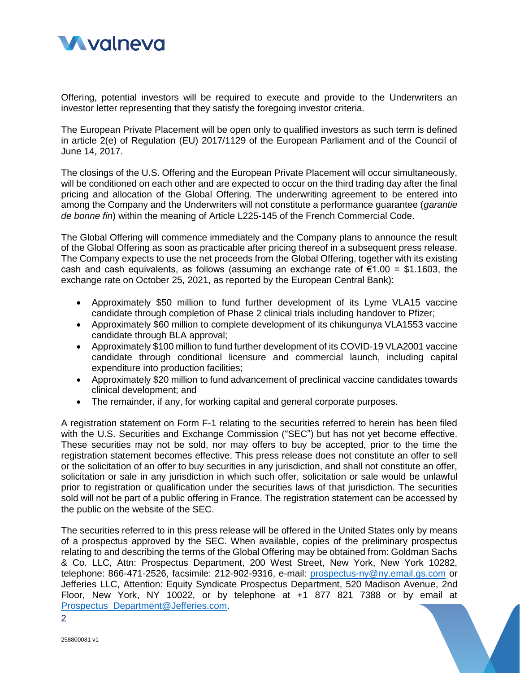

Offering, potential investors will be required to execute and provide to the Underwriters an investor letter representing that they satisfy the foregoing investor criteria.

The European Private Placement will be open only to qualified investors as such term is defined in article 2(e) of Regulation (EU) 2017/1129 of the European Parliament and of the Council of June 14, 2017.

The closings of the U.S. Offering and the European Private Placement will occur simultaneously, will be conditioned on each other and are expected to occur on the third trading day after the final pricing and allocation of the Global Offering. The underwriting agreement to be entered into among the Company and the Underwriters will not constitute a performance guarantee (*garantie de bonne fin*) within the meaning of Article L225-145 of the French Commercial Code.

The Global Offering will commence immediately and the Company plans to announce the result of the Global Offering as soon as practicable after pricing thereof in a subsequent press release. The Company expects to use the net proceeds from the Global Offering, together with its existing cash and cash equivalents, as follows (assuming an exchange rate of  $\epsilon$ 1.00 = \$1.1603, the exchange rate on October 25, 2021, as reported by the European Central Bank):

- Approximately \$50 million to fund further development of its Lyme VLA15 vaccine candidate through completion of Phase 2 clinical trials including handover to Pfizer;
- Approximately \$60 million to complete development of its chikungunya VLA1553 vaccine candidate through BLA approval;
- Approximately \$100 million to fund further development of its COVID-19 VLA2001 vaccine candidate through conditional licensure and commercial launch, including capital expenditure into production facilities;
- Approximately \$20 million to fund advancement of preclinical vaccine candidates towards clinical development; and
- The remainder, if any, for working capital and general corporate purposes.

A registration statement on Form F-1 relating to the securities referred to herein has been filed with the U.S. Securities and Exchange Commission ("SEC") but has not yet become effective. These securities may not be sold, nor may offers to buy be accepted, prior to the time the registration statement becomes effective. This press release does not constitute an offer to sell or the solicitation of an offer to buy securities in any jurisdiction, and shall not constitute an offer, solicitation or sale in any jurisdiction in which such offer, solicitation or sale would be unlawful prior to registration or qualification under the securities laws of that jurisdiction. The securities sold will not be part of a public offering in France. The registration statement can be accessed by the public on the website of the SEC.

The securities referred to in this press release will be offered in the United States only by means of a prospectus approved by the SEC. When available, copies of the preliminary prospectus relating to and describing the terms of the Global Offering may be obtained from: Goldman Sachs & Co. LLC, Attn: Prospectus Department, 200 West Street, New York, New York 10282, telephone: 866-471-2526, facsimile: 212-902-9316, e-mail: [prospectus-ny@ny.email.gs.com](mailto:prospectus-ny@ny.email.gs.com) or Jefferies LLC, Attention: Equity Syndicate Prospectus Department, 520 Madison Avenue, 2nd Floor, New York, NY 10022, or by telephone at +1 877 821 7388 or by email at [Prospectus\\_Department@Jefferies.com.](mailto:Prospectus_Department@Jefferies.com)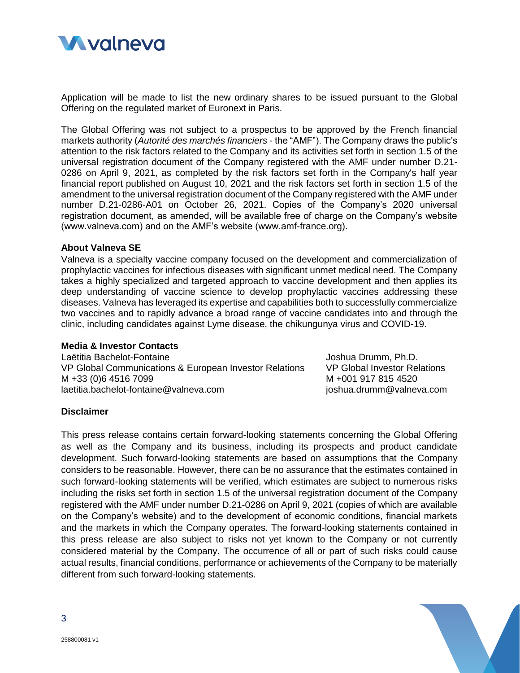

Application will be made to list the new ordinary shares to be issued pursuant to the Global Offering on the regulated market of Euronext in Paris.

The Global Offering was not subject to a prospectus to be approved by the French financial markets authority (*Autorité des marchés financiers* - the "AMF"). The Company draws the public's attention to the risk factors related to the Company and its activities set forth in section 1.5 of the universal registration document of the Company registered with the AMF under number D.21- 0286 on April 9, 2021, as completed by the risk factors set forth in the Company's half year financial report published on August 10, 2021 and the risk factors set forth in section 1.5 of the amendment to the universal registration document of the Company registered with the AMF under number D.21-0286-A01 on October 26, 2021. Copies of the Company's 2020 universal registration document, as amended, will be available free of charge on the Company's website (www.valneva.com) and on the AMF's website (www.amf-france.org).

## **About Valneva SE**

Valneva is a specialty vaccine company focused on the development and commercialization of prophylactic vaccines for infectious diseases with significant unmet medical need. The Company takes a highly specialized and targeted approach to vaccine development and then applies its deep understanding of vaccine science to develop prophylactic vaccines addressing these diseases. Valneva has leveraged its expertise and capabilities both to successfully commercialize two vaccines and to rapidly advance a broad range of vaccine candidates into and through the clinic, including candidates against Lyme disease, the chikungunya virus and COVID-19.

## **Media & Investor Contacts**

Laëtitia Bachelot-Fontaine VP Global Communications & European Investor Relations M +33 (0)6 4516 7099 laetitia.bachelot-fontaine@valneva.com

Joshua Drumm, Ph.D. VP Global Investor Relations M +001 917 815 4520 joshua.drumm@valneva.com

## **Disclaimer**

This press release contains certain forward-looking statements concerning the Global Offering as well as the Company and its business, including its prospects and product candidate development. Such forward-looking statements are based on assumptions that the Company considers to be reasonable. However, there can be no assurance that the estimates contained in such forward-looking statements will be verified, which estimates are subject to numerous risks including the risks set forth in section 1.5 of the universal registration document of the Company registered with the AMF under number D.21-0286 on April 9, 2021 (copies of which are available on the Company's website) and to the development of economic conditions, financial markets and the markets in which the Company operates. The forward-looking statements contained in this press release are also subject to risks not yet known to the Company or not currently considered material by the Company. The occurrence of all or part of such risks could cause actual results, financial conditions, performance or achievements of the Company to be materially different from such forward-looking statements.

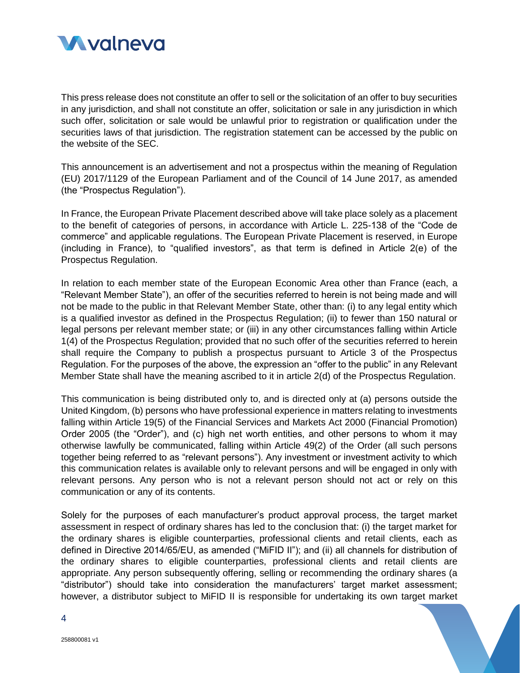

This press release does not constitute an offer to sell or the solicitation of an offer to buy securities in any jurisdiction, and shall not constitute an offer, solicitation or sale in any jurisdiction in which such offer, solicitation or sale would be unlawful prior to registration or qualification under the securities laws of that jurisdiction. The registration statement can be accessed by the public on the website of the SEC.

This announcement is an advertisement and not a prospectus within the meaning of Regulation (EU) 2017/1129 of the European Parliament and of the Council of 14 June 2017, as amended (the "Prospectus Regulation").

In France, the European Private Placement described above will take place solely as a placement to the benefit of categories of persons, in accordance with Article L. 225-138 of the "Code de commerce" and applicable regulations. The European Private Placement is reserved, in Europe (including in France), to "qualified investors", as that term is defined in Article 2(e) of the Prospectus Regulation.

In relation to each member state of the European Economic Area other than France (each, a "Relevant Member State"), an offer of the securities referred to herein is not being made and will not be made to the public in that Relevant Member State, other than: (i) to any legal entity which is a qualified investor as defined in the Prospectus Regulation; (ii) to fewer than 150 natural or legal persons per relevant member state; or (iii) in any other circumstances falling within Article 1(4) of the Prospectus Regulation; provided that no such offer of the securities referred to herein shall require the Company to publish a prospectus pursuant to Article 3 of the Prospectus Regulation. For the purposes of the above, the expression an "offer to the public" in any Relevant Member State shall have the meaning ascribed to it in article 2(d) of the Prospectus Regulation.

This communication is being distributed only to, and is directed only at (a) persons outside the United Kingdom, (b) persons who have professional experience in matters relating to investments falling within Article 19(5) of the Financial Services and Markets Act 2000 (Financial Promotion) Order 2005 (the "Order"), and (c) high net worth entities, and other persons to whom it may otherwise lawfully be communicated, falling within Article 49(2) of the Order (all such persons together being referred to as "relevant persons"). Any investment or investment activity to which this communication relates is available only to relevant persons and will be engaged in only with relevant persons. Any person who is not a relevant person should not act or rely on this communication or any of its contents.

Solely for the purposes of each manufacturer's product approval process, the target market assessment in respect of ordinary shares has led to the conclusion that: (i) the target market for the ordinary shares is eligible counterparties, professional clients and retail clients, each as defined in Directive 2014/65/EU, as amended ("MiFID II"); and (ii) all channels for distribution of the ordinary shares to eligible counterparties, professional clients and retail clients are appropriate. Any person subsequently offering, selling or recommending the ordinary shares (a "distributor") should take into consideration the manufacturers' target market assessment; however, a distributor subject to MiFID II is responsible for undertaking its own target market